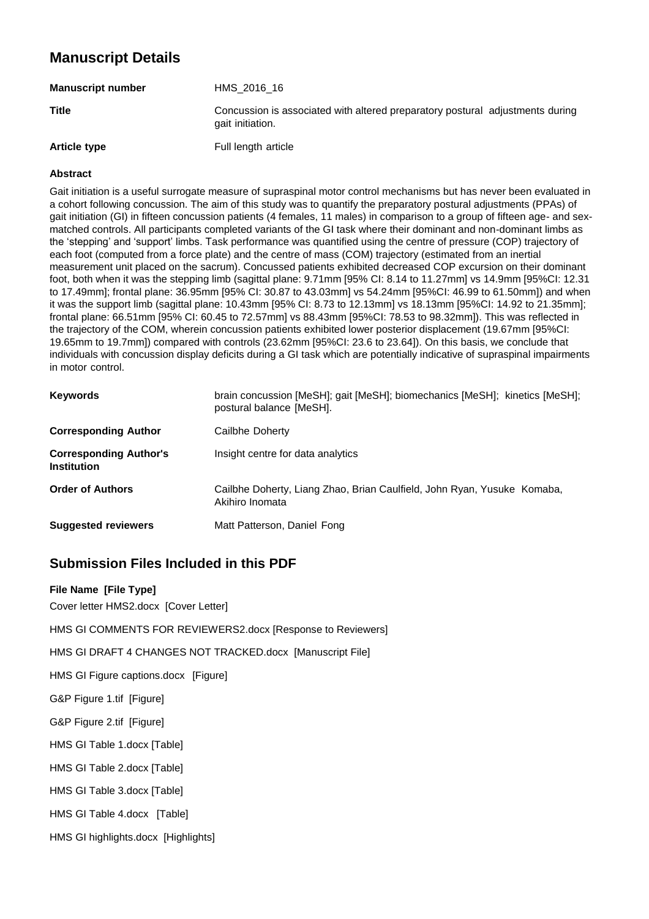# **Manuscript Details**

| <b>Manuscript number</b> | HMS 2016 16                                                                                       |
|--------------------------|---------------------------------------------------------------------------------------------------|
| <b>Title</b>             | Concussion is associated with altered preparatory postural adjustments during<br>gait initiation. |
| <b>Article type</b>      | Full length article                                                                               |

#### **Abstract**

Gait initiation is a useful surrogate measure of supraspinal motor control mechanisms but has never been evaluated in a cohort following concussion. The aim of this study was to quantify the preparatory postural adjustments (PPAs) of gait initiation (GI) in fifteen concussion patients (4 females, 11 males) in comparison to a group of fifteen age- and sexmatched controls. All participants completed variants of the GI task where their dominant and non-dominant limbs as the 'stepping' and 'support' limbs. Task performance was quantified using the centre of pressure (COP) trajectory of each foot (computed from a force plate) and the centre of mass (COM) trajectory (estimated from an inertial measurement unit placed on the sacrum). Concussed patients exhibited decreased COP excursion on their dominant foot, both when it was the stepping limb (sagittal plane: 9.71mm [95% CI: 8.14 to 11.27mm] vs 14.9mm [95%CI: 12.31 to 17.49mm]; frontal plane: 36.95mm [95% CI: 30.87 to 43.03mm] vs 54.24mm [95%CI: 46.99 to 61.50mm]) and when it was the support limb (sagittal plane: 10.43mm [95% CI: 8.73 to 12.13mm] vs 18.13mm [95%CI: 14.92 to 21.35mm]; frontal plane: 66.51mm [95% CI: 60.45 to 72.57mm] vs 88.43mm [95%CI: 78.53 to 98.32mm]). This was reflected in the trajectory of the COM, wherein concussion patients exhibited lower posterior displacement (19.67mm [95%CI: 19.65mm to 19.7mm]) compared with controls (23.62mm [95%CI: 23.6 to 23.64]). On this basis, we conclude that individuals with concussion display deficits during a GI task which are potentially indicative of supraspinal impairments in motor control.

| <b>Keywords</b>                                     | brain concussion [MeSH]; gait [MeSH]; biomechanics [MeSH]; kinetics [MeSH];<br>postural balance [MeSH]. |
|-----------------------------------------------------|---------------------------------------------------------------------------------------------------------|
| <b>Corresponding Author</b>                         | Cailbhe Doherty                                                                                         |
| <b>Corresponding Author's</b><br><b>Institution</b> | Insight centre for data analytics                                                                       |
| <b>Order of Authors</b>                             | Cailbhe Doherty, Liang Zhao, Brian Caulfield, John Ryan, Yusuke Komaba,<br>Akihiro Inomata              |
| <b>Suggested reviewers</b>                          | Matt Patterson, Daniel Fong                                                                             |

# **Submission Files Included in this PDF**

# **File Name [File Type]**

Cover letter HMS2.docx [Cover Letter]

HMS GI COMMENTS FOR REVIEWERS2.docx [Response to Reviewers]

HMS GI DRAFT 4 CHANGES NOT TRACKED.docx [Manuscript File]

HMS GI Figure captions.docx [Figure]

G&P Figure 1.tif [Figure]

G&P Figure 2.tif [Figure]

HMS GI Table 1.docx [Table]

HMS GI Table 2.docx [Table]

HMS GI Table 3.docx [Table]

HMS GI Table 4.docx [Table]

HMS GI highlights.docx [Highlights]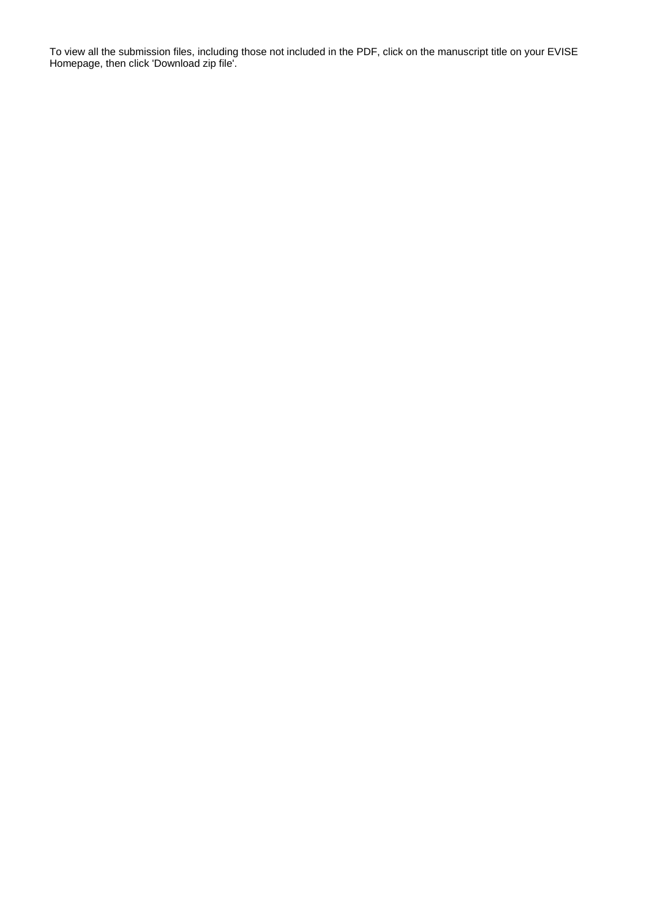To view all the submission files, including those not included in the PDF, click on the manuscript title on your EVISE Homepage, then click 'Download zip file'.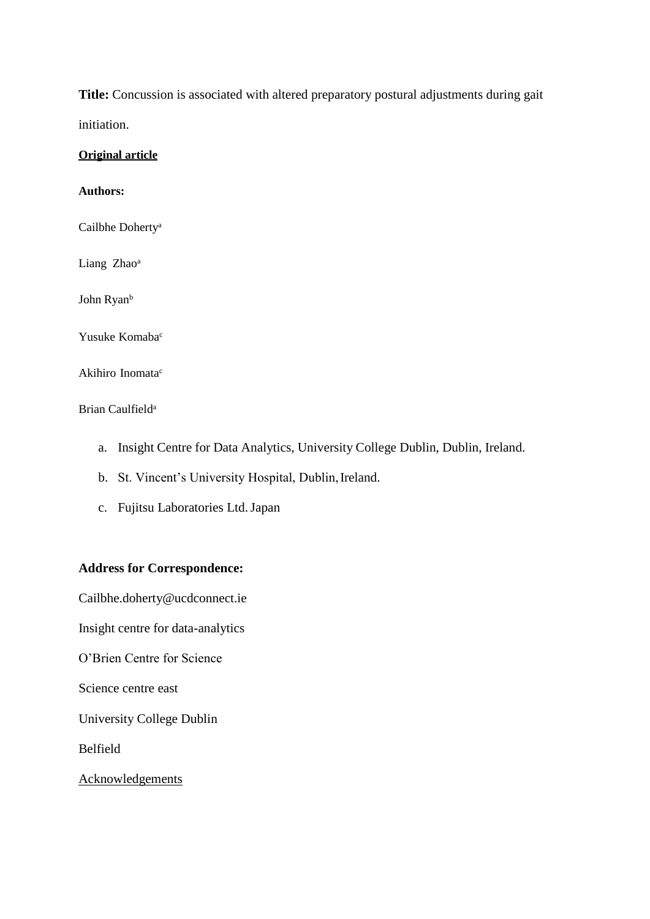**Title:** Concussion is associated with altered preparatory postural adjustments during gait initiation.

### **Original article**

# **Authors:**

Cailbhe Doherty<sup>a</sup>

Liang Zhao<sup>a</sup>

John Ryan<sup>b</sup>

Yusuke Komaba<sup>c</sup>

Akihiro Inomata<sup>c</sup>

# Brian Caulfield<sup>a</sup>

- a. Insight Centre for Data Analytics, University College Dublin, Dublin, Ireland.
- b. St. Vincent's University Hospital, Dublin, Ireland.
- c. Fujitsu Laboratories Ltd.Japan

# **Address for Correspondence:**

[Cailbhe.doherty@ucdconnect.ie](mailto:Cailbhe.doherty@ucdconnect.ie)

Insight centre for data-analytics

O'Brien Centre for Science

Science centre east

University College Dublin

Belfield

**Acknowledgements**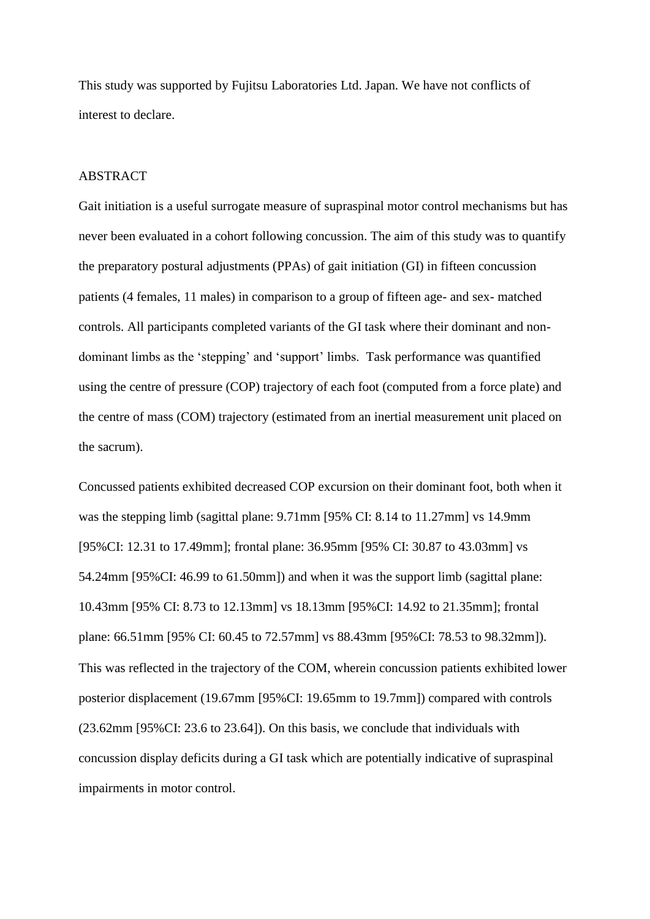This study was supported by Fujitsu Laboratories Ltd. Japan. We have not conflicts of interest to declare.

# ABSTRACT

Gait initiation is a useful surrogate measure of supraspinal motor control mechanisms but has never been evaluated in a cohort following concussion. The aim of this study was to quantify the preparatory postural adjustments (PPAs) of gait initiation (GI) in fifteen concussion patients (4 females, 11 males) in comparison to a group of fifteen age- and sex- matched controls. All participants completed variants of the GI task where their dominant and nondominant limbs as the 'stepping' and 'support' limbs. Task performance was quantified using the centre of pressure (COP) trajectory of each foot (computed from a force plate) and the centre of mass (COM) trajectory (estimated from an inertial measurement unit placed on the sacrum).

Concussed patients exhibited decreased COP excursion on their dominant foot, both when it was the stepping limb (sagittal plane: 9.71mm [95% CI: 8.14 to 11.27mm] vs 14.9mm [95%CI: 12.31 to 17.49mm]; frontal plane: 36.95mm [95% CI: 30.87 to 43.03mm] vs 54.24mm [95%CI: 46.99 to 61.50mm]) and when it was the support limb (sagittal plane: 10.43mm [95% CI: 8.73 to 12.13mm] vs 18.13mm [95%CI: 14.92 to 21.35mm]; frontal plane: 66.51mm [95% CI: 60.45 to 72.57mm] vs 88.43mm [95%CI: 78.53 to 98.32mm]). This was reflected in the trajectory of the COM, wherein concussion patients exhibited lower posterior displacement (19.67mm [95%CI: 19.65mm to 19.7mm]) compared with controls (23.62mm [95%CI: 23.6 to 23.64]). On this basis, we conclude that individuals with concussion display deficits during a GI task which are potentially indicative of supraspinal impairments in motor control.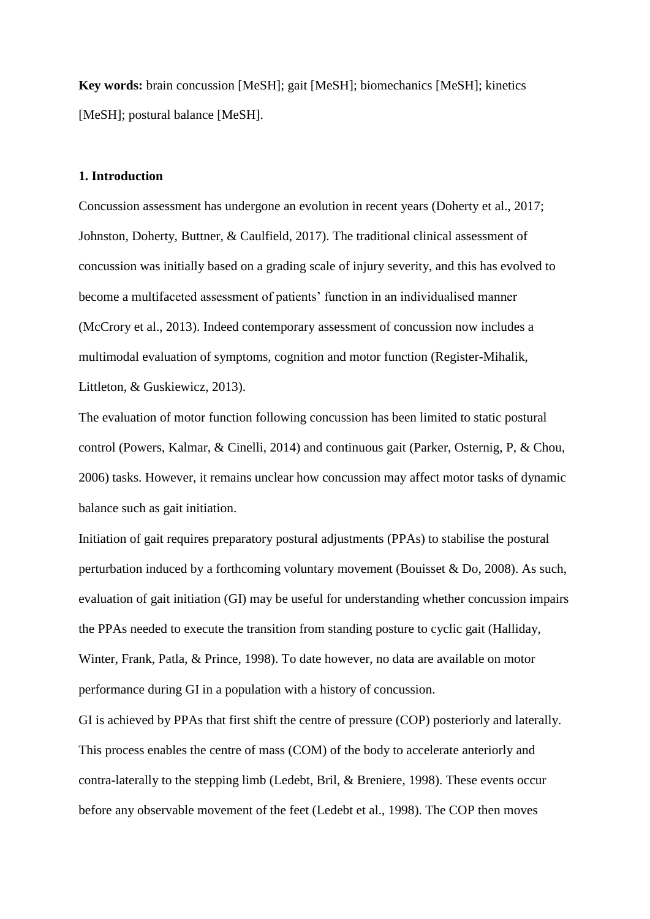**Key words:** brain concussion [MeSH]; gait [MeSH]; biomechanics [MeSH]; kinetics [MeSH]; postural balance [MeSH].

# **1. Introduction**

Concussion assessment has undergone an evolution in recent years (Doherty et al., 2017; Johnston, Doherty, Buttner, & Caulfield, 2017). The traditional clinical assessment of concussion was initially based on a grading scale of injury severity, and this has evolved to become a multifaceted assessment of patients' function in an individualised manner (McCrory et al., 2013). Indeed contemporary assessment of concussion now includes a multimodal evaluation of symptoms, cognition and motor function (Register-Mihalik, Littleton, & Guskiewicz, 2013).

The evaluation of motor function following concussion has been limited to static postural control (Powers, Kalmar, & Cinelli, 2014) and continuous gait (Parker, Osternig, P, & Chou, 2006) tasks. However, it remains unclear how concussion may affect motor tasks of dynamic balance such as gait initiation.

Initiation of gait requires preparatory postural adjustments (PPAs) to stabilise the postural perturbation induced by a forthcoming voluntary movement (Bouisset & Do, 2008). As such, evaluation of gait initiation (GI) may be useful for understanding whether concussion impairs the PPAs needed to execute the transition from standing posture to cyclic gait (Halliday, Winter, Frank, Patla, & Prince, 1998). To date however, no data are available on motor performance during GI in a population with a history of concussion.

GI is achieved by PPAs that first shift the centre of pressure (COP) posteriorly and laterally. This process enables the centre of mass (COM) of the body to accelerate anteriorly and contra-laterally to the stepping limb (Ledebt, Bril, & Breniere, 1998). These events occur before any observable movement of the feet (Ledebt et al., 1998). The COP then moves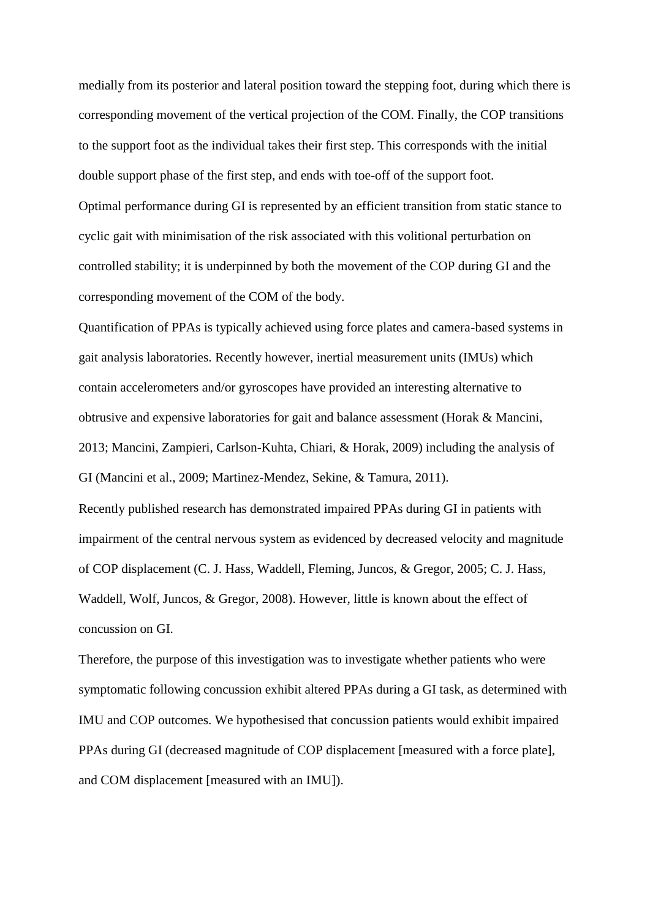medially from its posterior and lateral position toward the stepping foot, during which there is corresponding movement of the vertical projection of the COM. Finally, the COP transitions to the support foot as the individual takes their first step. This corresponds with the initial double support phase of the first step, and ends with toe-off of the support foot. Optimal performance during GI is represented by an efficient transition from static stance to cyclic gait with minimisation of the risk associated with this volitional perturbation on controlled stability; it is underpinned by both the movement of the COP during GI and the corresponding movement of the COM of the body.

Quantification of PPAs is typically achieved using force plates and camera-based systems in gait analysis laboratories. Recently however, inertial measurement units (IMUs) which contain accelerometers and/or gyroscopes have provided an interesting alternative to obtrusive and expensive laboratories for gait and balance assessment (Horak & Mancini, 2013; Mancini, Zampieri, Carlson-Kuhta, Chiari, & Horak, 2009) including the analysis of GI (Mancini et al., 2009; Martinez-Mendez, Sekine, & Tamura, 2011).

Recently published research has demonstrated impaired PPAs during GI in patients with impairment of the central nervous system as evidenced by decreased velocity and magnitude of COP displacement (C. J. Hass, Waddell, Fleming, Juncos, & Gregor, 2005; C. J. Hass, Waddell, Wolf, Juncos, & Gregor, 2008). However, little is known about the effect of concussion on GI.

Therefore, the purpose of this investigation was to investigate whether patients who were symptomatic following concussion exhibit altered PPAs during a GI task, as determined with IMU and COP outcomes. We hypothesised that concussion patients would exhibit impaired PPAs during GI (decreased magnitude of COP displacement [measured with a force plate], and COM displacement [measured with an IMU]).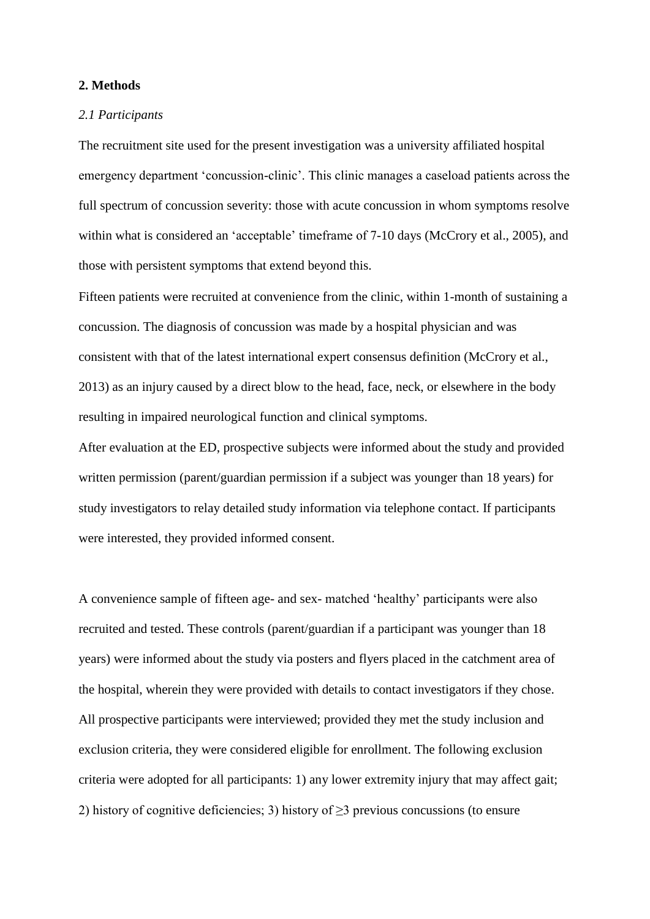# **2. Methods**

# *2.1 Participants*

The recruitment site used for the present investigation was a university affiliated hospital emergency department 'concussion-clinic'. This clinic manages a caseload patients across the full spectrum of concussion severity: those with acute concussion in whom symptoms resolve within what is considered an 'acceptable' timeframe of 7-10 days (McCrory et al., 2005), and those with persistent symptoms that extend beyond this.

Fifteen patients were recruited at convenience from the clinic, within 1-month of sustaining a concussion. The diagnosis of concussion was made by a hospital physician and was consistent with that of the latest international expert consensus definition (McCrory et al., 2013) as an injury caused by a direct blow to the head, face, neck, or elsewhere in the body resulting in impaired neurological function and clinical symptoms.

After evaluation at the ED, prospective subjects were informed about the study and provided written permission (parent/guardian permission if a subject was younger than 18 years) for study investigators to relay detailed study information via telephone contact. If participants were interested, they provided informed consent.

A convenience sample of fifteen age- and sex- matched 'healthy' participants were also recruited and tested. These controls (parent/guardian if a participant was younger than 18 years) were informed about the study via posters and flyers placed in the catchment area of the hospital, wherein they were provided with details to contact investigators if they chose. All prospective participants were interviewed; provided they met the study inclusion and exclusion criteria, they were considered eligible for enrollment. The following exclusion criteria were adopted for all participants: 1) any lower extremity injury that may affect gait; 2) history of cognitive deficiencies; 3) history of  $\geq$ 3 previous concussions (to ensure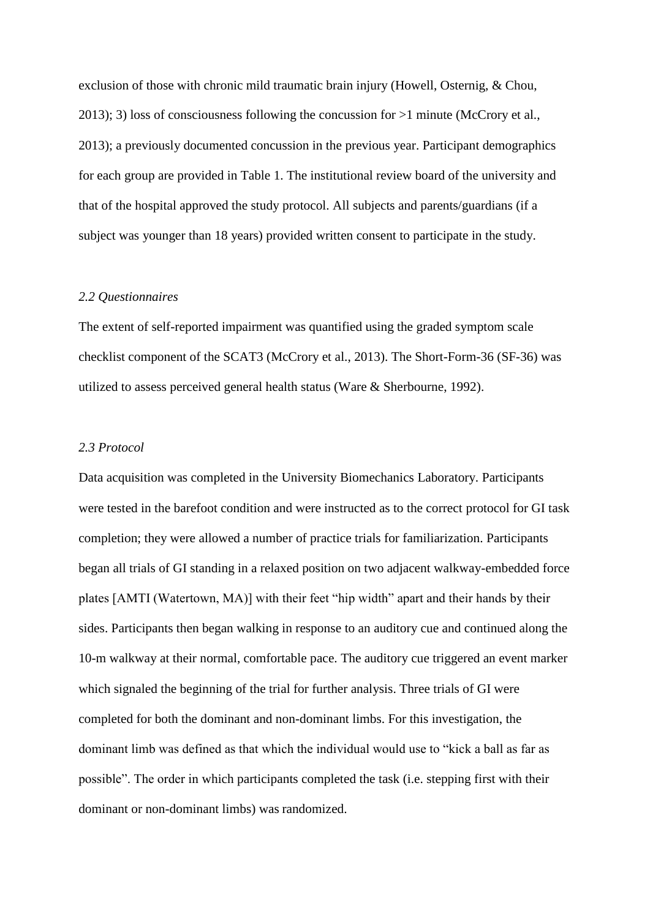exclusion of those with chronic mild traumatic brain injury (Howell, Osternig, & Chou, 2013); 3) loss of consciousness following the concussion for >1 minute (McCrory et al., 2013); a previously documented concussion in the previous year. Participant demographics for each group are provided in Table 1. The institutional review board of the university and that of the hospital approved the study protocol. All subjects and parents/guardians (if a subject was younger than 18 years) provided written consent to participate in the study.

### *2.2 Questionnaires*

The extent of self-reported impairment was quantified using the graded symptom scale checklist component of the SCAT3 (McCrory et al., 2013). The Short-Form-36 (SF-36) was utilized to assess perceived general health status (Ware & Sherbourne, 1992).

# *2.3 Protocol*

Data acquisition was completed in the University Biomechanics Laboratory. Participants were tested in the barefoot condition and were instructed as to the correct protocol for GI task completion; they were allowed a number of practice trials for familiarization. Participants began all trials of GI standing in a relaxed position on two adjacent walkway-embedded force plates [AMTI (Watertown, MA)] with their feet "hip width" apart and their hands by their sides. Participants then began walking in response to an auditory cue and continued along the 10-m walkway at their normal, comfortable pace. The auditory cue triggered an event marker which signaled the beginning of the trial for further analysis. Three trials of GI were completed for both the dominant and non-dominant limbs. For this investigation, the dominant limb was defined as that which the individual would use to "kick a ball as far as possible". The order in which participants completed the task (i.e. stepping first with their dominant or non-dominant limbs) was randomized.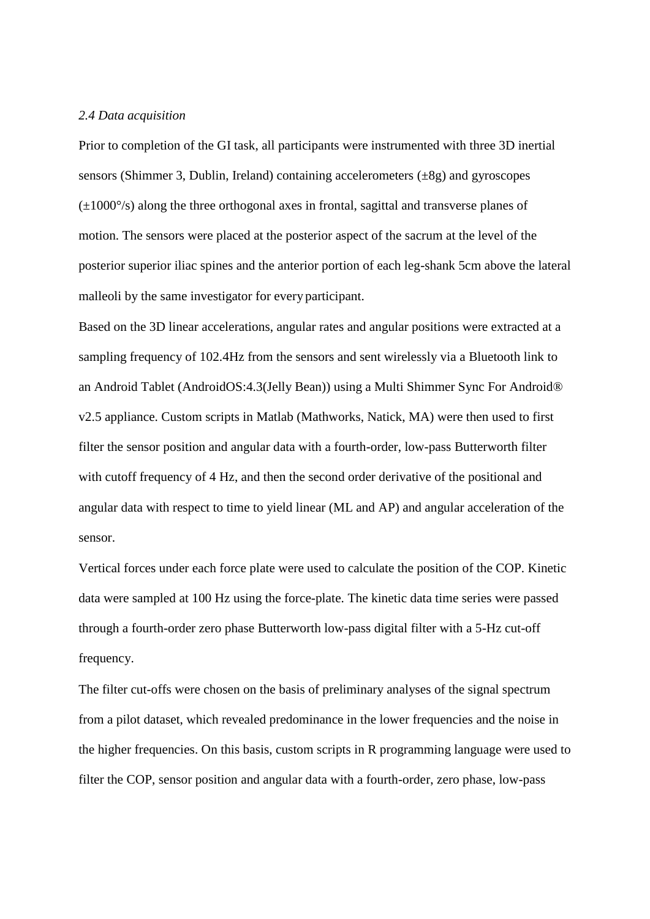#### *2.4 Data acquisition*

Prior to completion of the GI task, all participants were instrumented with three 3D inertial sensors (Shimmer 3, Dublin, Ireland) containing accelerometers (±8g) and gyroscopes (±1000°/s) along the three orthogonal axes in frontal, sagittal and transverse planes of motion. The sensors were placed at the posterior aspect of the sacrum at the level of the posterior superior iliac spines and the anterior portion of each leg-shank 5cm above the lateral malleoli by the same investigator for every participant.

Based on the 3D linear accelerations, angular rates and angular positions were extracted at a sampling frequency of 102.4Hz from the sensors and sent wirelessly via a Bluetooth link to an Android Tablet (AndroidOS:4.3(Jelly Bean)) using a Multi Shimmer Sync For Android® v2.5 appliance. Custom scripts in Matlab (Mathworks, Natick, MA) were then used to first filter the sensor position and angular data with a fourth-order, low-pass Butterworth filter with cutoff frequency of 4 Hz, and then the second order derivative of the positional and angular data with respect to time to yield linear (ML and AP) and angular acceleration of the sensor.

Vertical forces under each force plate were used to calculate the position of the COP. Kinetic data were sampled at 100 Hz using the force-plate. The kinetic data time series were passed through a fourth-order zero phase Butterworth low-pass digital filter with a 5-Hz cut-off frequency.

The filter cut-offs were chosen on the basis of preliminary analyses of the signal spectrum from a pilot dataset, which revealed predominance in the lower frequencies and the noise in the higher frequencies. On this basis, custom scripts in R programming language were used to filter the COP, sensor position and angular data with a fourth-order, zero phase, low-pass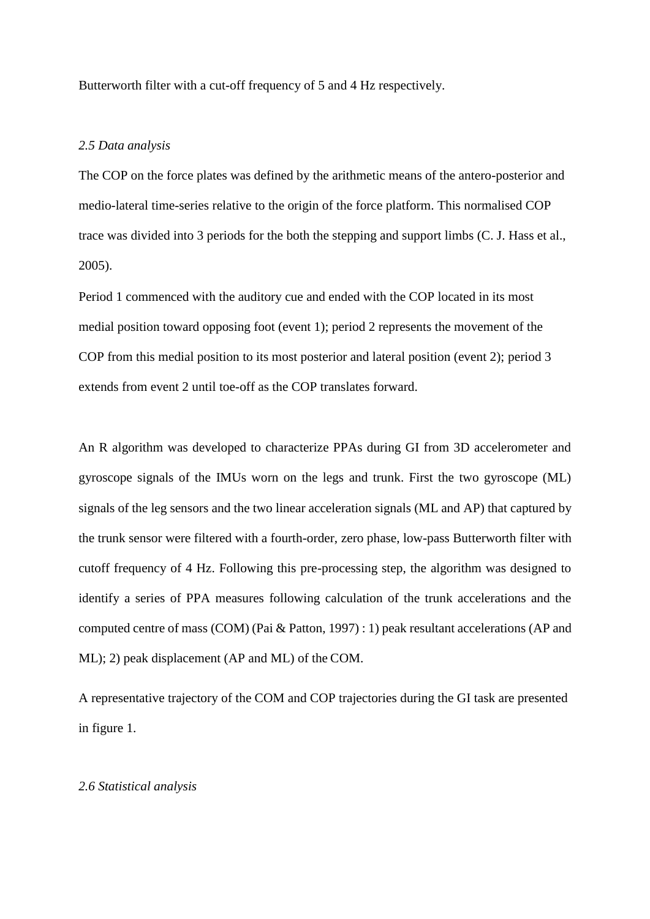Butterworth filter with a cut-off frequency of 5 and 4 Hz respectively.

## *2.5 Data analysis*

The COP on the force plates was defined by the arithmetic means of the antero-posterior and medio-lateral time-series relative to the origin of the force platform. This normalised COP trace was divided into 3 periods for the both the stepping and support limbs (C. J. Hass et al., 2005).

Period 1 commenced with the auditory cue and ended with the COP located in its most medial position toward opposing foot (event 1); period 2 represents the movement of the COP from this medial position to its most posterior and lateral position (event 2); period 3 extends from event 2 until toe-off as the COP translates forward.

An R algorithm was developed to characterize PPAs during GI from 3D accelerometer and gyroscope signals of the IMUs worn on the legs and trunk. First the two gyroscope (ML) signals of the leg sensors and the two linear acceleration signals (ML and AP) that captured by the trunk sensor were filtered with a fourth-order, zero phase, low-pass Butterworth filter with cutoff frequency of 4 Hz. Following this pre-processing step, the algorithm was designed to identify a series of PPA measures following calculation of the trunk accelerations and the computed centre of mass (COM) (Pai & Patton, 1997) : 1) peak resultant accelerations (AP and ML); 2) peak displacement (AP and ML) of the COM.

A representative trajectory of the COM and COP trajectories during the GI task are presented in figure 1.

# *2.6 Statistical analysis*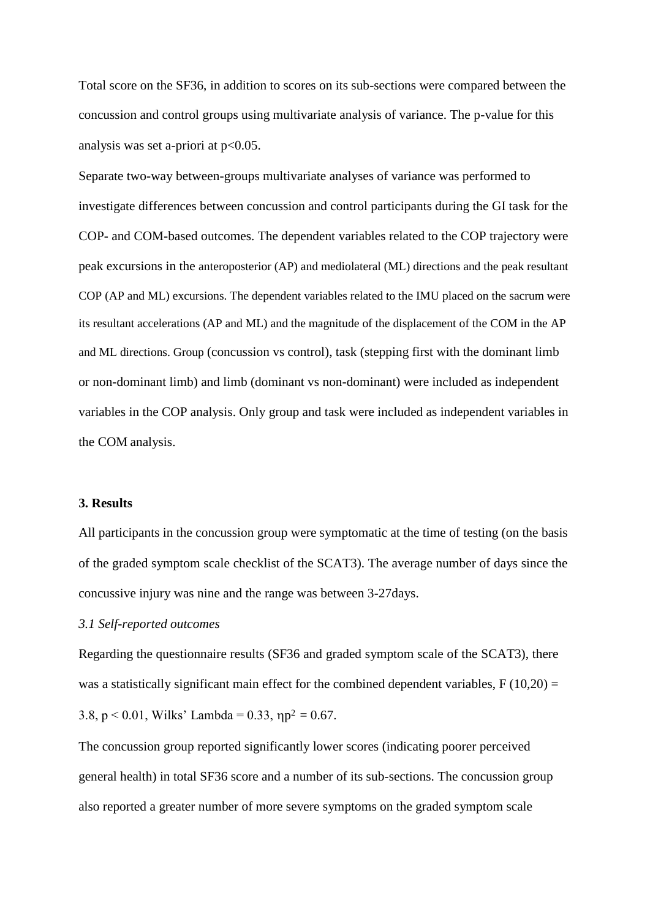Total score on the SF36, in addition to scores on its sub-sections were compared between the concussion and control groups using multivariate analysis of variance. The p-value for this analysis was set a-priori at  $p<0.05$ .

Separate two-way between-groups multivariate analyses of variance was performed to investigate differences between concussion and control participants during the GI task for the COP- and COM-based outcomes. The dependent variables related to the COP trajectory were peak excursions in the anteroposterior (AP) and mediolateral (ML) directions and the peak resultant COP (AP and ML) excursions. The dependent variables related to the IMU placed on the sacrum were its resultant accelerations (AP and ML) and the magnitude of the displacement of the COM in the AP and ML directions. Group (concussion vs control), task (stepping first with the dominant limb or non-dominant limb) and limb (dominant vs non-dominant) were included as independent variables in the COP analysis. Only group and task were included as independent variables in the COM analysis.

#### **3. Results**

All participants in the concussion group were symptomatic at the time of testing (on the basis of the graded symptom scale checklist of the SCAT3). The average number of days since the concussive injury was nine and the range was between 3-27days.

# *3.1 Self-reported outcomes*

Regarding the questionnaire results (SF36 and graded symptom scale of the SCAT3), there was a statistically significant main effect for the combined dependent variables,  $F(10,20) =$ 3.8,  $p < 0.01$ , Wilks' Lambda = 0.33,  $np^2 = 0.67$ .

The concussion group reported significantly lower scores (indicating poorer perceived general health) in total SF36 score and a number of its sub-sections. The concussion group also reported a greater number of more severe symptoms on the graded symptom scale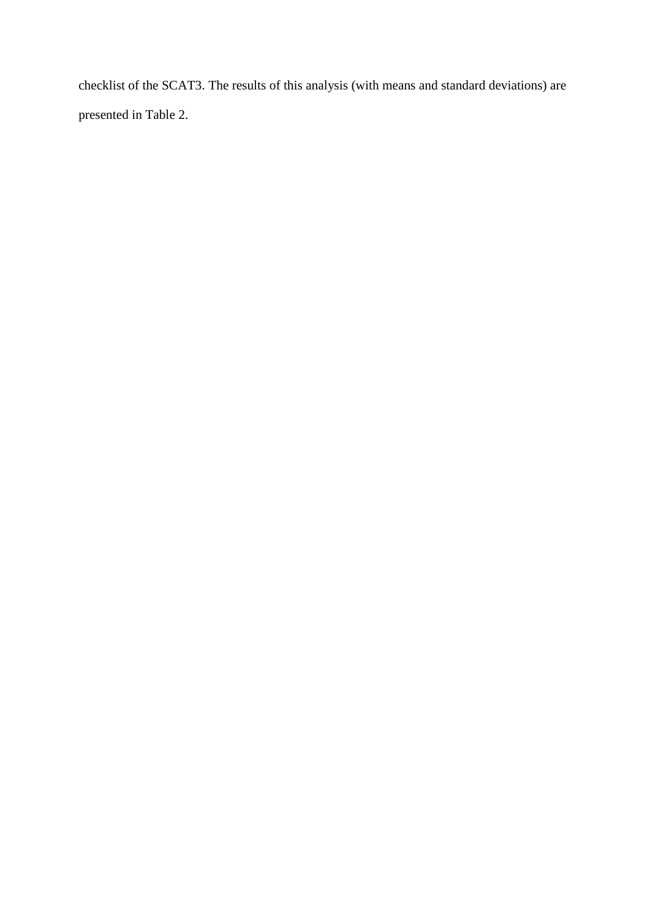checklist of the SCAT3. The results of this analysis (with means and standard deviations) are presented in Table 2.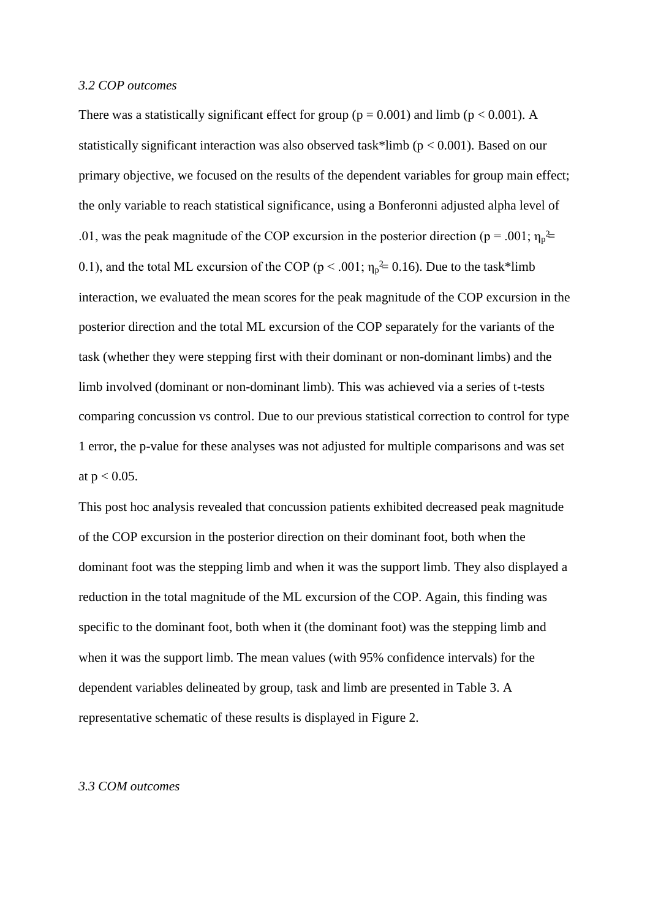#### *3.2 COP outcomes*

.01, was the peak magnitude of the COP excursion in the posterior direction (p = .001;  $\eta_p^2$  = 0.1), and the total ML excursion of the COP ( $p < .001$ ;  $\eta_p^2 = 0.16$ ). Due to the task\*limb There was a statistically significant effect for group ( $p = 0.001$ ) and limb ( $p < 0.001$ ). A statistically significant interaction was also observed task\*limb ( $p < 0.001$ ). Based on our primary objective, we focused on the results of the dependent variables for group main effect; the only variable to reach statistical significance, using a Bonferonni adjusted alpha level of interaction, we evaluated the mean scores for the peak magnitude of the COP excursion in the posterior direction and the total ML excursion of the COP separately for the variants of the task (whether they were stepping first with their dominant or non-dominant limbs) and the limb involved (dominant or non-dominant limb). This was achieved via a series of t-tests comparing concussion vs control. Due to our previous statistical correction to control for type 1 error, the p-value for these analyses was not adjusted for multiple comparisons and was set at  $p < 0.05$ .

This post hoc analysis revealed that concussion patients exhibited decreased peak magnitude of the COP excursion in the posterior direction on their dominant foot, both when the dominant foot was the stepping limb and when it was the support limb. They also displayed a reduction in the total magnitude of the ML excursion of the COP. Again, this finding was specific to the dominant foot, both when it (the dominant foot) was the stepping limb and when it was the support limb. The mean values (with 95% confidence intervals) for the dependent variables delineated by group, task and limb are presented in Table 3. A representative schematic of these results is displayed in Figure 2.

# *3.3 COM outcomes*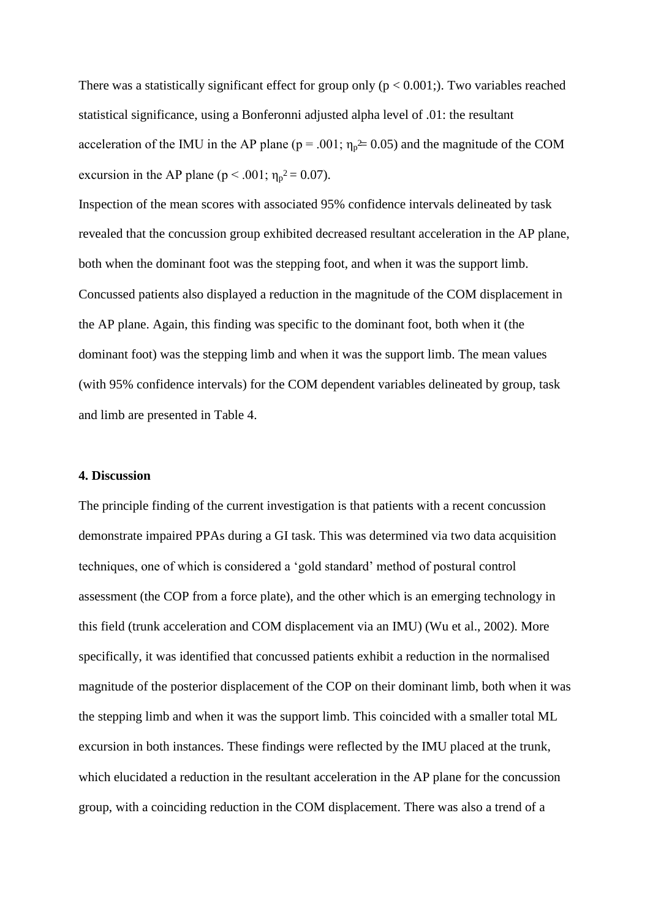acceleration of the IMU in the AP plane ( $p = .001$ ;  $\eta_p \approx 0.05$ ) and the magnitude of the COM excursion in the AP plane ( $p < .001$ ;  $\eta_p^2 = 0.07$ ). There was a statistically significant effect for group only ( $p < 0.001$ ;). Two variables reached statistical significance, using a Bonferonni adjusted alpha level of .01: the resultant

Inspection of the mean scores with associated 95% confidence intervals delineated by task revealed that the concussion group exhibited decreased resultant acceleration in the AP plane, both when the dominant foot was the stepping foot, and when it was the support limb. Concussed patients also displayed a reduction in the magnitude of the COM displacement in the AP plane. Again, this finding was specific to the dominant foot, both when it (the dominant foot) was the stepping limb and when it was the support limb. The mean values (with 95% confidence intervals) for the COM dependent variables delineated by group, task and limb are presented in Table 4.

# **4. Discussion**

The principle finding of the current investigation is that patients with a recent concussion demonstrate impaired PPAs during a GI task. This was determined via two data acquisition techniques, one of which is considered a 'gold standard' method of postural control assessment (the COP from a force plate), and the other which is an emerging technology in this field (trunk acceleration and COM displacement via an IMU) (Wu et al., 2002). More specifically, it was identified that concussed patients exhibit a reduction in the normalised magnitude of the posterior displacement of the COP on their dominant limb, both when it was the stepping limb and when it was the support limb. This coincided with a smaller total ML excursion in both instances. These findings were reflected by the IMU placed at the trunk, which elucidated a reduction in the resultant acceleration in the AP plane for the concussion group, with a coinciding reduction in the COM displacement. There was also a trend of a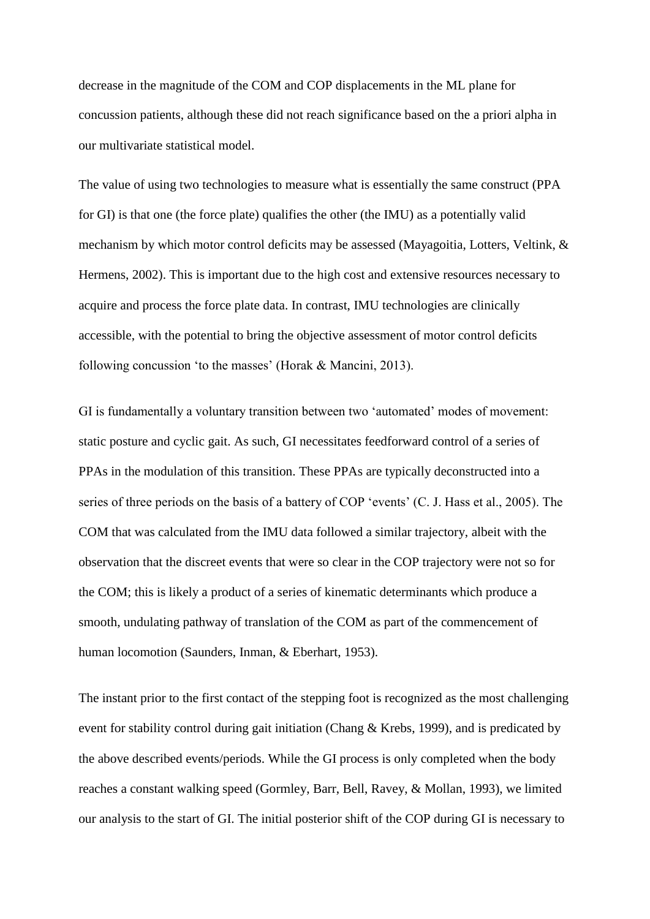decrease in the magnitude of the COM and COP displacements in the ML plane for concussion patients, although these did not reach significance based on the a priori alpha in our multivariate statistical model.

The value of using two technologies to measure what is essentially the same construct (PPA for GI) is that one (the force plate) qualifies the other (the IMU) as a potentially valid mechanism by which motor control deficits may be assessed (Mayagoitia, Lotters, Veltink, & Hermens, 2002). This is important due to the high cost and extensive resources necessary to acquire and process the force plate data. In contrast, IMU technologies are clinically accessible, with the potential to bring the objective assessment of motor control deficits following concussion 'to the masses' (Horak & Mancini, 2013).

GI is fundamentally a voluntary transition between two 'automated' modes of movement: static posture and cyclic gait. As such, GI necessitates feedforward control of a series of PPAs in the modulation of this transition. These PPAs are typically deconstructed into a series of three periods on the basis of a battery of COP 'events' (C. J. Hass et al., 2005). The COM that was calculated from the IMU data followed a similar trajectory, albeit with the observation that the discreet events that were so clear in the COP trajectory were not so for the COM; this is likely a product of a series of kinematic determinants which produce a smooth, undulating pathway of translation of the COM as part of the commencement of human locomotion (Saunders, Inman, & Eberhart, 1953).

The instant prior to the first contact of the stepping foot is recognized as the most challenging event for stability control during gait initiation (Chang & Krebs, 1999), and is predicated by the above described events/periods. While the GI process is only completed when the body reaches a constant walking speed (Gormley, Barr, Bell, Ravey, & Mollan, 1993), we limited our analysis to the start of GI. The initial posterior shift of the COP during GI is necessary to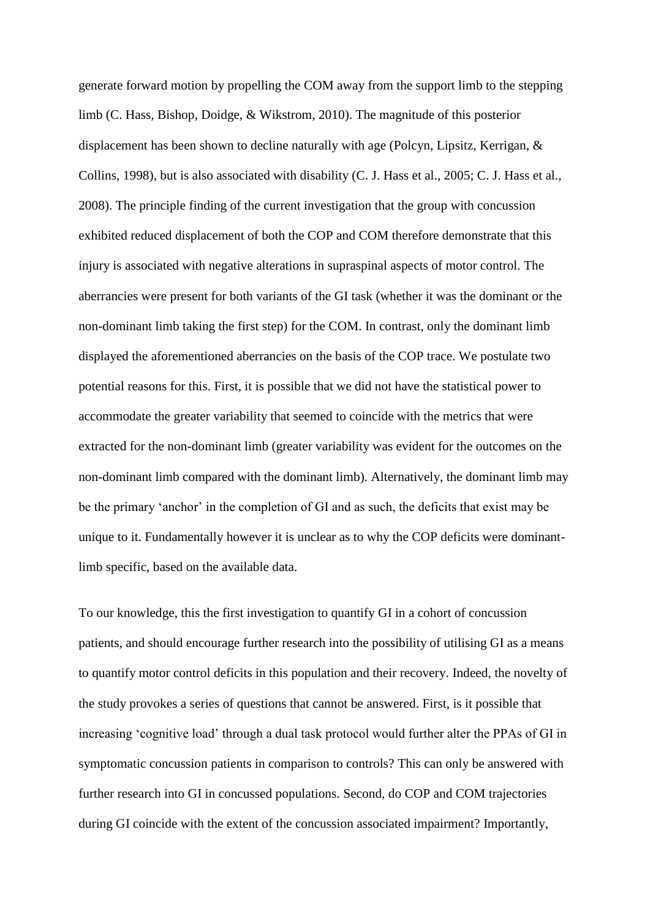generate forward motion by propelling the COM away from the support limb to the stepping limb (C. Hass, Bishop, Doidge, & Wikstrom, 2010). The magnitude of this posterior displacement has been shown to decline naturally with age (Polcyn, Lipsitz, Kerrigan, & Collins, 1998), but is also associated with disability (C. J. Hass et al., 2005; C. J. Hass et al., 2008). The principle finding of the current investigation that the group with concussion exhibited reduced displacement of both the COP and COM therefore demonstrate that this injury is associated with negative alterations in supraspinal aspects of motor control. The aberrancies were present for both variants of the GI task (whether it was the dominant or the non-dominant limb taking the first step) for the COM. In contrast, only the dominant limb displayed the aforementioned aberrancies on the basis of the COP trace. We postulate two potential reasons for this. First, it is possible that we did not have the statistical power to accommodate the greater variability that seemed to coincide with the metrics that were extracted for the non-dominant limb (greater variability was evident for the outcomes on the non-dominant limb compared with the dominant limb). Alternatively, the dominant limb may be the primary 'anchor' in the completion of GI and as such, the deficits that exist may be unique to it. Fundamentally however it is unclear as to why the COP deficits were dominantlimb specific, based on the available data.

To our knowledge, this the first investigation to quantify GI in a cohort of concussion patients, and should encourage further research into the possibility of utilising GI as a means to quantify motor control deficits in this population and their recovery. Indeed, the novelty of the study provokes a series of questions that cannot be answered. First, is it possible that increasing 'cognitive load' through a dual task protocol would further alter the PPAs of GI in symptomatic concussion patients in comparison to controls? This can only be answered with further research into GI in concussed populations. Second, do COP and COM trajectories during GI coincide with the extent of the concussion associated impairment? Importantly,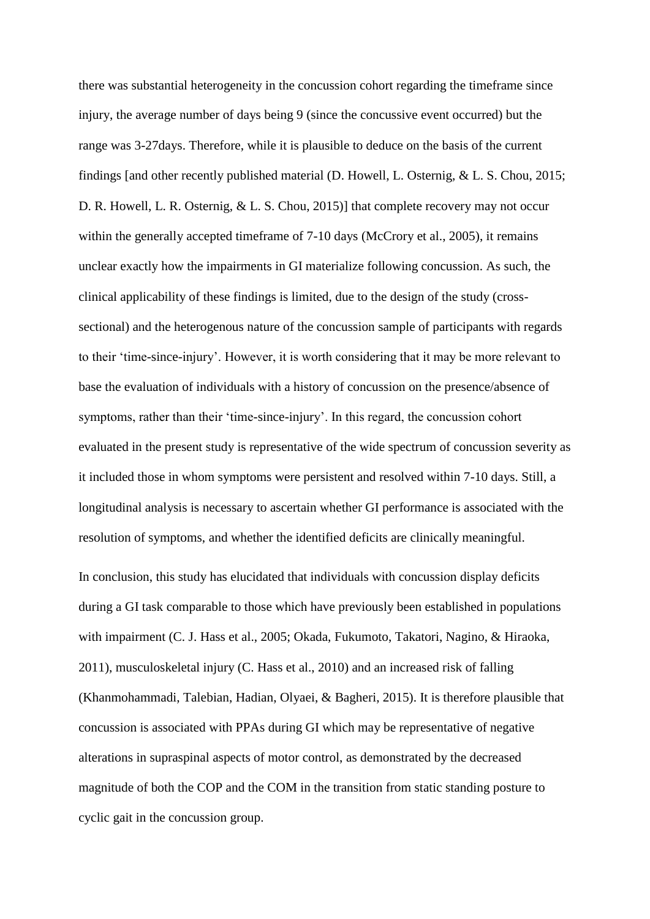there was substantial heterogeneity in the concussion cohort regarding the timeframe since injury, the average number of days being 9 (since the concussive event occurred) but the range was 3-27days. Therefore, while it is plausible to deduce on the basis of the current findings [and other recently published material (D. Howell, L. Osternig, & L. S. Chou, 2015; D. R. Howell, L. R. Osternig, & L. S. Chou, 2015)] that complete recovery may not occur within the generally accepted timeframe of 7-10 days (McCrory et al., 2005), it remains unclear exactly how the impairments in GI materialize following concussion. As such, the clinical applicability of these findings is limited, due to the design of the study (crosssectional) and the heterogenous nature of the concussion sample of participants with regards to their 'time-since-injury'. However, it is worth considering that it may be more relevant to base the evaluation of individuals with a history of concussion on the presence/absence of symptoms, rather than their 'time-since-injury'. In this regard, the concussion cohort evaluated in the present study is representative of the wide spectrum of concussion severity as it included those in whom symptoms were persistent and resolved within 7-10 days. Still, a longitudinal analysis is necessary to ascertain whether GI performance is associated with the resolution of symptoms, and whether the identified deficits are clinically meaningful.

In conclusion, this study has elucidated that individuals with concussion display deficits during a GI task comparable to those which have previously been established in populations with impairment (C. J. Hass et al., 2005; Okada, Fukumoto, Takatori, Nagino, & Hiraoka, 2011), musculoskeletal injury (C. Hass et al., 2010) and an increased risk of falling (Khanmohammadi, Talebian, Hadian, Olyaei, & Bagheri, 2015). It is therefore plausible that concussion is associated with PPAs during GI which may be representative of negative alterations in supraspinal aspects of motor control, as demonstrated by the decreased magnitude of both the COP and the COM in the transition from static standing posture to cyclic gait in the concussion group.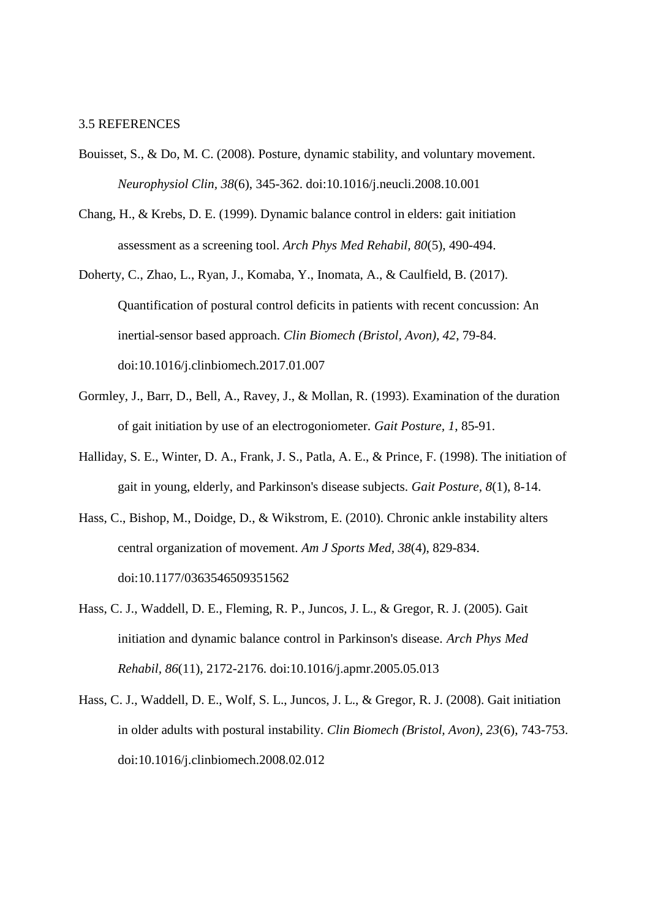### 3.5 REFERENCES

- Bouisset, S., & Do, M. C. (2008). Posture, dynamic stability, and voluntary movement. *Neurophysiol Clin, 38*(6), 345-362. doi:10.1016/j.neucli.2008.10.001
- Chang, H., & Krebs, D. E. (1999). Dynamic balance control in elders: gait initiation assessment as a screening tool. *Arch Phys Med Rehabil, 80*(5), 490-494.
- Doherty, C., Zhao, L., Ryan, J., Komaba, Y., Inomata, A., & Caulfield, B. (2017). Quantification of postural control deficits in patients with recent concussion: An inertial-sensor based approach. *Clin Biomech (Bristol, Avon), 42*, 79-84. doi:10.1016/j.clinbiomech.2017.01.007
- Gormley, J., Barr, D., Bell, A., Ravey, J., & Mollan, R. (1993). Examination of the duration of gait initiation by use of an electrogoniometer. *Gait Posture, 1*, 85-91.
- Halliday, S. E., Winter, D. A., Frank, J. S., Patla, A. E., & Prince, F. (1998). The initiation of gait in young, elderly, and Parkinson's disease subjects. *Gait Posture, 8*(1), 8-14.
- Hass, C., Bishop, M., Doidge, D., & Wikstrom, E. (2010). Chronic ankle instability alters central organization of movement. *Am J Sports Med, 38*(4), 829-834. doi:10.1177/0363546509351562
- Hass, C. J., Waddell, D. E., Fleming, R. P., Juncos, J. L., & Gregor, R. J. (2005). Gait initiation and dynamic balance control in Parkinson's disease. *Arch Phys Med Rehabil, 86*(11), 2172-2176. doi:10.1016/j.apmr.2005.05.013
- Hass, C. J., Waddell, D. E., Wolf, S. L., Juncos, J. L., & Gregor, R. J. (2008). Gait initiation in older adults with postural instability. *Clin Biomech (Bristol, Avon), 23*(6), 743-753. doi:10.1016/j.clinbiomech.2008.02.012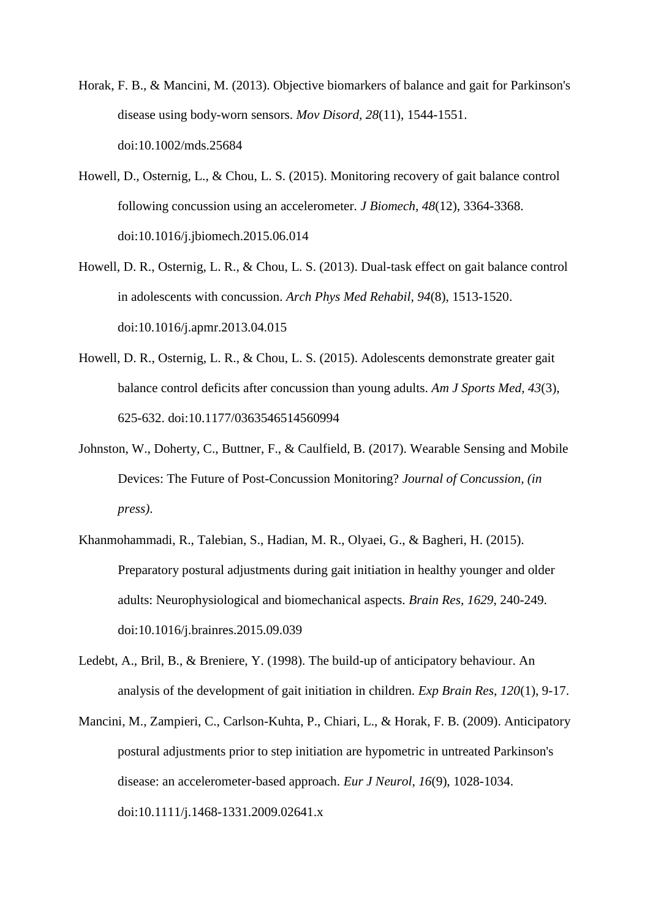- Horak, F. B., & Mancini, M. (2013). Objective biomarkers of balance and gait for Parkinson's disease using body-worn sensors. *Mov Disord, 28*(11), 1544-1551. doi:10.1002/mds.25684
- Howell, D., Osternig, L., & Chou, L. S. (2015). Monitoring recovery of gait balance control following concussion using an accelerometer. *J Biomech, 48*(12), 3364-3368. doi:10.1016/j.jbiomech.2015.06.014
- Howell, D. R., Osternig, L. R., & Chou, L. S. (2013). Dual-task effect on gait balance control in adolescents with concussion. *Arch Phys Med Rehabil, 94*(8), 1513-1520. doi:10.1016/j.apmr.2013.04.015
- Howell, D. R., Osternig, L. R., & Chou, L. S. (2015). Adolescents demonstrate greater gait balance control deficits after concussion than young adults. *Am J Sports Med, 43*(3), 625-632. doi:10.1177/0363546514560994
- Johnston, W., Doherty, C., Buttner, F., & Caulfield, B. (2017). Wearable Sensing and Mobile Devices: The Future of Post-Concussion Monitoring? *Journal of Concussion, (in press)*.
- Khanmohammadi, R., Talebian, S., Hadian, M. R., Olyaei, G., & Bagheri, H. (2015). Preparatory postural adjustments during gait initiation in healthy younger and older adults: Neurophysiological and biomechanical aspects. *Brain Res, 1629*, 240-249. doi:10.1016/j.brainres.2015.09.039
- Ledebt, A., Bril, B., & Breniere, Y. (1998). The build-up of anticipatory behaviour. An analysis of the development of gait initiation in children. *Exp Brain Res, 120*(1), 9-17.
- Mancini, M., Zampieri, C., Carlson-Kuhta, P., Chiari, L., & Horak, F. B. (2009). Anticipatory postural adjustments prior to step initiation are hypometric in untreated Parkinson's disease: an accelerometer-based approach. *Eur J Neurol, 16*(9), 1028-1034. doi:10.1111/j.1468-1331.2009.02641.x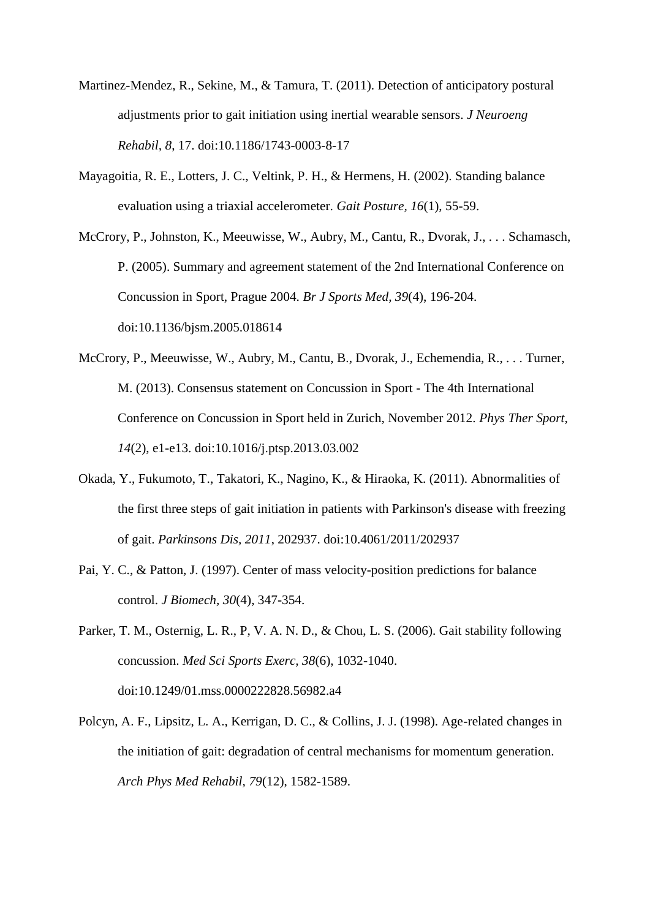- Martinez-Mendez, R., Sekine, M., & Tamura, T. (2011). Detection of anticipatory postural adjustments prior to gait initiation using inertial wearable sensors. *J Neuroeng Rehabil, 8*, 17. doi:10.1186/1743-0003-8-17
- Mayagoitia, R. E., Lotters, J. C., Veltink, P. H., & Hermens, H. (2002). Standing balance evaluation using a triaxial accelerometer. *Gait Posture, 16*(1), 55-59.
- McCrory, P., Johnston, K., Meeuwisse, W., Aubry, M., Cantu, R., Dvorak, J., . . . Schamasch, P. (2005). Summary and agreement statement of the 2nd International Conference on Concussion in Sport, Prague 2004. *Br J Sports Med, 39*(4), 196-204. doi:10.1136/bjsm.2005.018614
- McCrory, P., Meeuwisse, W., Aubry, M., Cantu, B., Dvorak, J., Echemendia, R., . . . Turner, M. (2013). Consensus statement on Concussion in Sport - The 4th International Conference on Concussion in Sport held in Zurich, November 2012. *Phys Ther Sport, 14*(2), e1-e13. doi:10.1016/j.ptsp.2013.03.002
- Okada, Y., Fukumoto, T., Takatori, K., Nagino, K., & Hiraoka, K. (2011). Abnormalities of the first three steps of gait initiation in patients with Parkinson's disease with freezing of gait. *Parkinsons Dis, 2011*, 202937. doi:10.4061/2011/202937
- Pai, Y. C., & Patton, J. (1997). Center of mass velocity-position predictions for balance control. *J Biomech, 30*(4), 347-354.
- Parker, T. M., Osternig, L. R., P, V. A. N. D., & Chou, L. S. (2006). Gait stability following concussion. *Med Sci Sports Exerc, 38*(6), 1032-1040. doi:10.1249/01.mss.0000222828.56982.a4
- Polcyn, A. F., Lipsitz, L. A., Kerrigan, D. C., & Collins, J. J. (1998). Age-related changes in the initiation of gait: degradation of central mechanisms for momentum generation. *Arch Phys Med Rehabil, 79*(12), 1582-1589.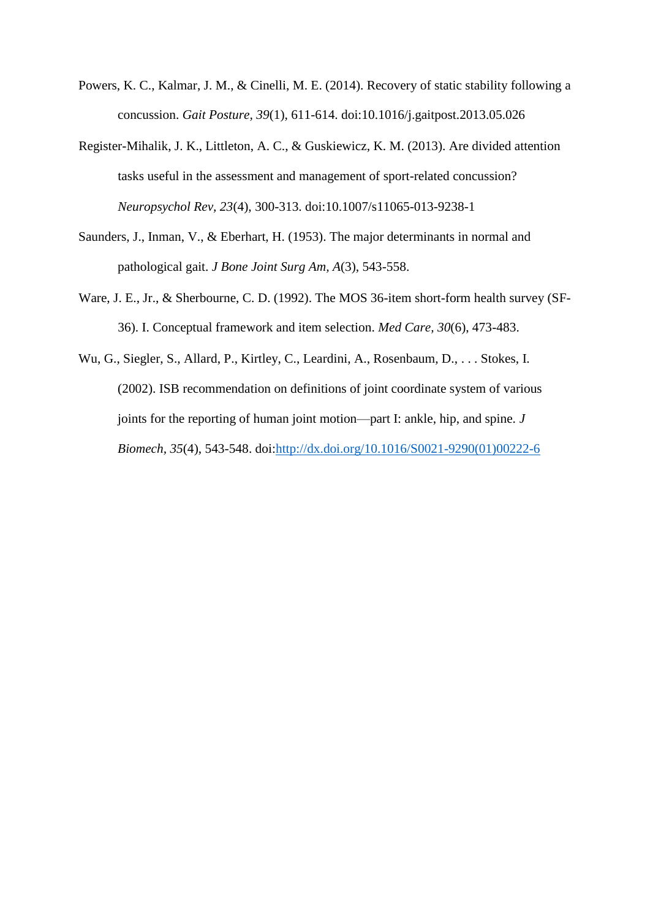- Powers, K. C., Kalmar, J. M., & Cinelli, M. E. (2014). Recovery of static stability following a concussion. *Gait Posture, 39*(1), 611-614. doi:10.1016/j.gaitpost.2013.05.026
- Register-Mihalik, J. K., Littleton, A. C., & Guskiewicz, K. M. (2013). Are divided attention tasks useful in the assessment and management of sport-related concussion? *Neuropsychol Rev, 23*(4), 300-313. doi:10.1007/s11065-013-9238-1
- Saunders, J., Inman, V., & Eberhart, H. (1953). The major determinants in normal and pathological gait. *J Bone Joint Surg Am, A*(3), 543-558.
- Ware, J. E., Jr., & Sherbourne, C. D. (1992). The MOS 36-item short-form health survey (SF-36). I. Conceptual framework and item selection. *Med Care, 30*(6), 473-483.
- Wu, G., Siegler, S., Allard, P., Kirtley, C., Leardini, A., Rosenbaum, D., . . . Stokes, I. (2002). ISB recommendation on definitions of joint coordinate system of various joints for the reporting of human joint motion—part I: ankle, hip, and spine. *J Biomech, 35*(4), 543-548. doi[:http://dx.doi.org/10.1016/S0021-9290\(01\)00222-6](http://dx.doi.org/10.1016/S0021-9290(01)00222-6)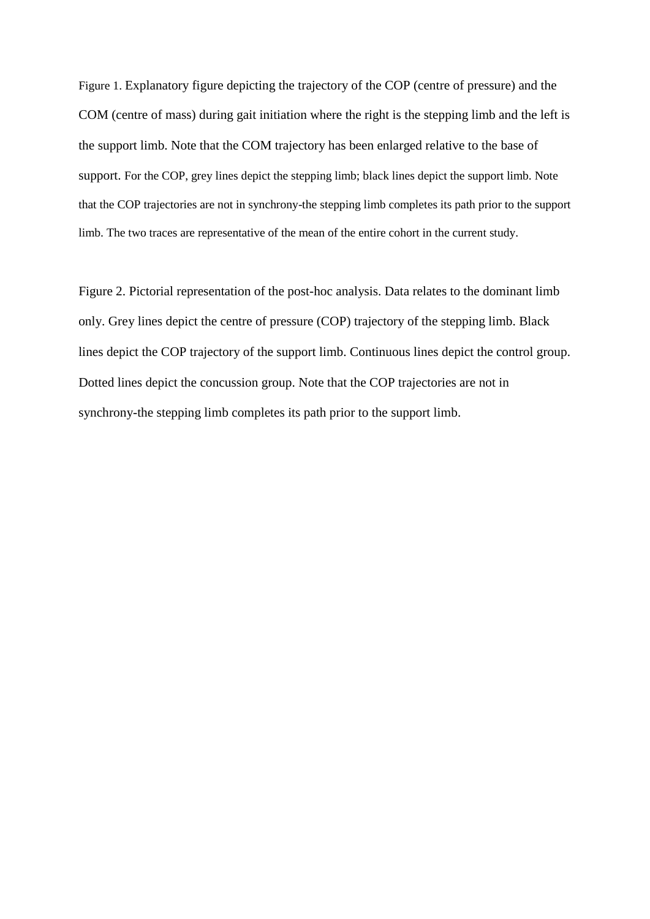Figure 1. Explanatory figure depicting the trajectory of the COP (centre of pressure) and the COM (centre of mass) during gait initiation where the right is the stepping limb and the left is the support limb. Note that the COM trajectory has been enlarged relative to the base of support. For the COP, grey lines depict the stepping limb; black lines depict the support limb. Note that the COP trajectories are not in synchrony-the stepping limb completes its path prior to the support limb. The two traces are representative of the mean of the entire cohort in the current study.

Figure 2. Pictorial representation of the post-hoc analysis. Data relates to the dominant limb only. Grey lines depict the centre of pressure (COP) trajectory of the stepping limb. Black lines depict the COP trajectory of the support limb. Continuous lines depict the control group. Dotted lines depict the concussion group. Note that the COP trajectories are not in synchrony-the stepping limb completes its path prior to the support limb.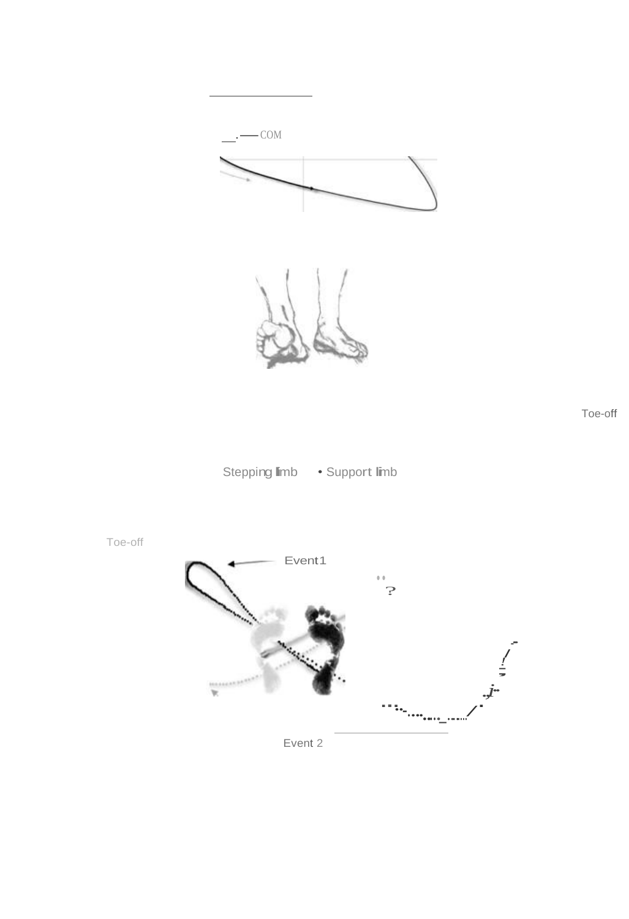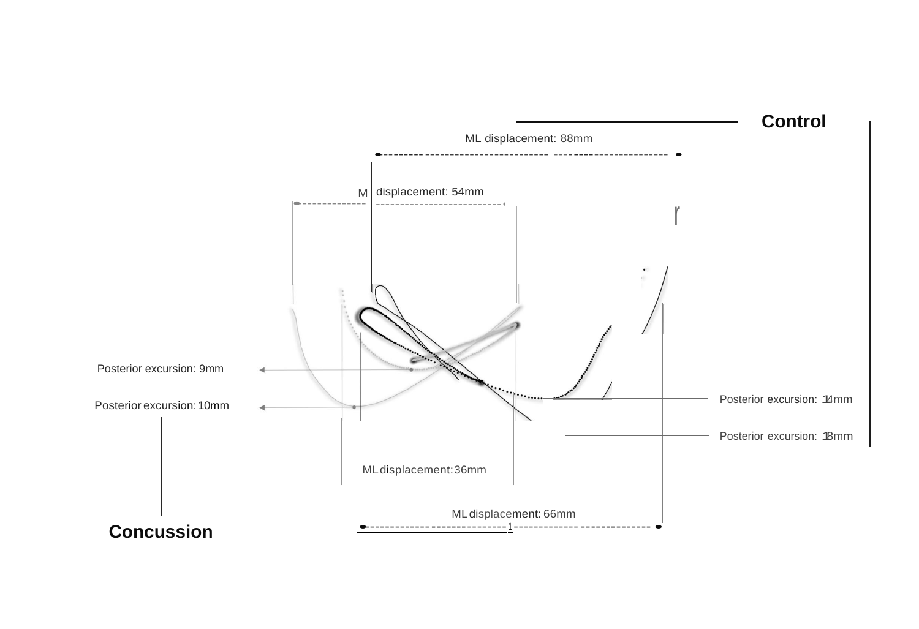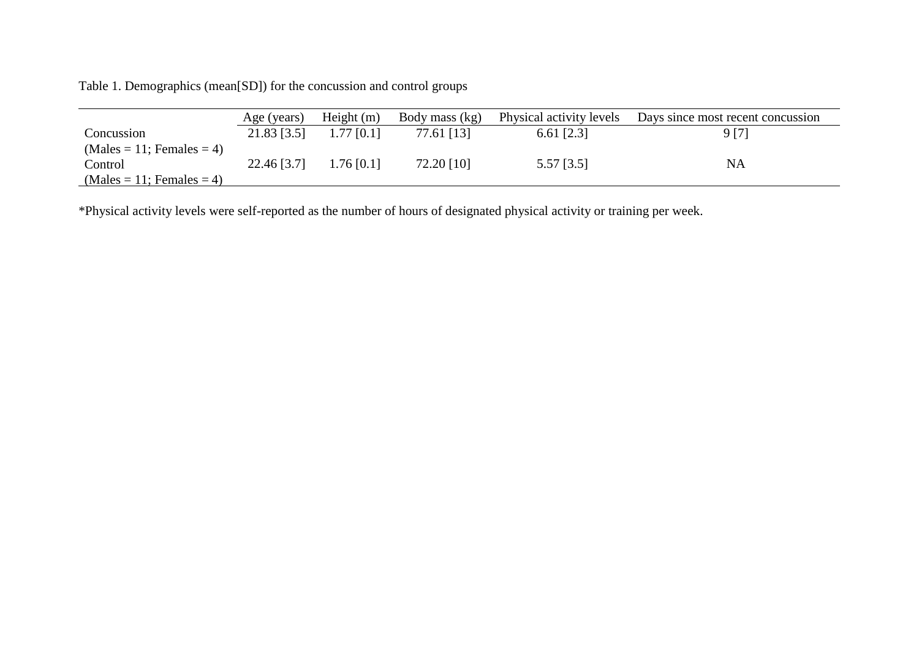Table 1. Demographics (mean[SD]) for the concussion and control groups

|                             | Age (years) | Height $(m)$ | Body mass (kg) | Physical activity levels | Days since most recent concussion |
|-----------------------------|-------------|--------------|----------------|--------------------------|-----------------------------------|
| Concussion                  | 21.83 [3.5] | $1.77$ [0.1] | 77.61 [13]     | $6.61$ [2.3]             | 9 [7]                             |
| $(Males = 11; Females = 4)$ |             |              |                |                          |                                   |
| Control                     | 22.46 [3.7] | $1.76$ [0.1] | 72.20 [10]     | $5.57$ [3.5]             | NA                                |
| $(Males = 11; Females = 4)$ |             |              |                |                          |                                   |

\*Physical activity levels were self-reported as the number of hours of designated physical activity or training per week.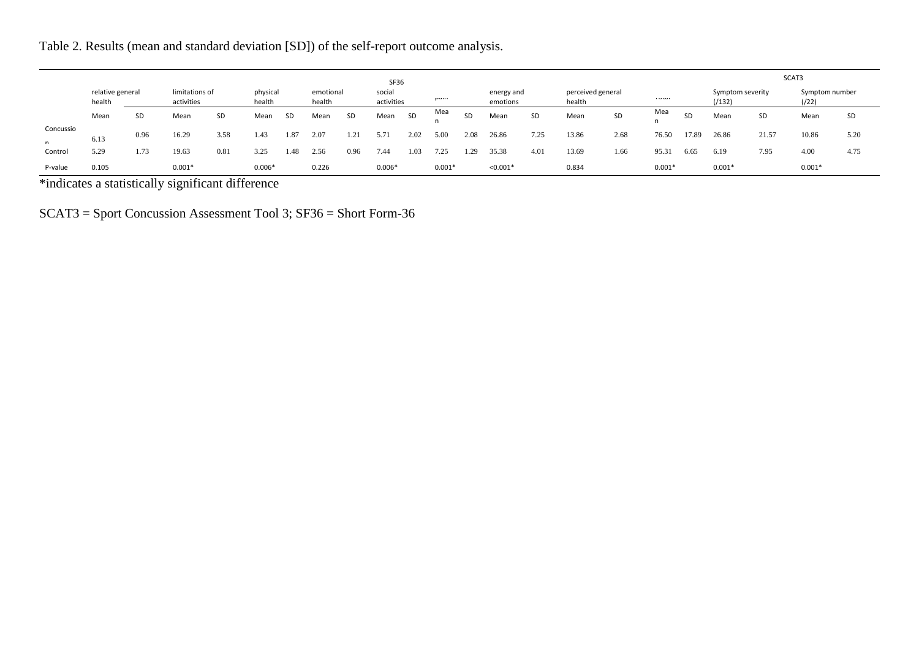Table 2. Results (mean and standard deviation [SD]) of the self-report outcome analysis.

|                             | <b>SF36</b>                |      |                              |      |          |                                 |       |                      |          |             | SCAT3    |                        |            |                             |       |      |          |                           |          |                          |          |      |
|-----------------------------|----------------------------|------|------------------------------|------|----------|---------------------------------|-------|----------------------|----------|-------------|----------|------------------------|------------|-----------------------------|-------|------|----------|---------------------------|----------|--------------------------|----------|------|
|                             | relative general<br>health |      | limitations of<br>activities |      | health   | physical<br>emotional<br>health |       | social<br>activities |          | <b>Pull</b> |          | energy and<br>emotions |            | perceived general<br>health |       | 1000 |          | Symptom severity<br>(132) |          | Symptom number<br>(1/22) |          |      |
|                             | Mean                       | SD   | Mean                         | SD   | Mean     | SD                              | Mean  | <b>SD</b>            | Mean     | SD          | Mea      | SD                     | Mean       | SD                          | Mean  | SD   | Mea      | SD                        | Mean     | SD                       | Mean     | SD   |
| Concussio<br>$\overline{ }$ | 6.13                       | 0.96 | 16.29                        | 3.58 | 1.43     | 1.87                            | 2.07  | 1.21                 | 5.71     | 2.02        | 5.00     | 2.08                   | 26.86      | 7.25                        | 13.86 | 2.68 | 76.50    | 17.89                     | 26.86    | 21.57                    | 10.86    | 5.20 |
| Control                     | 5.29                       | 1.73 | 19.63                        | 0.81 | 3.25     | 1.48                            | 2.56  | 0.96                 | 7.44     | 1.03        | 7.25     | 1.29                   | 35.38      | 4.01                        | 13.69 | 1.66 | 95.31    | 6.65                      | 6.19     | 7.95                     | 4.00     | 4.75 |
| P-value                     | 0.105                      |      | $0.001*$                     |      | $0.006*$ |                                 | 0.226 |                      | $0.006*$ |             | $0.001*$ |                        | $< 0.001*$ |                             | 0.834 |      | $0.001*$ |                           | $0.001*$ |                          | $0.001*$ |      |

\*indicates a statistically significant difference

SCAT3 = Sport Concussion Assessment Tool 3; SF36 = Short Form-36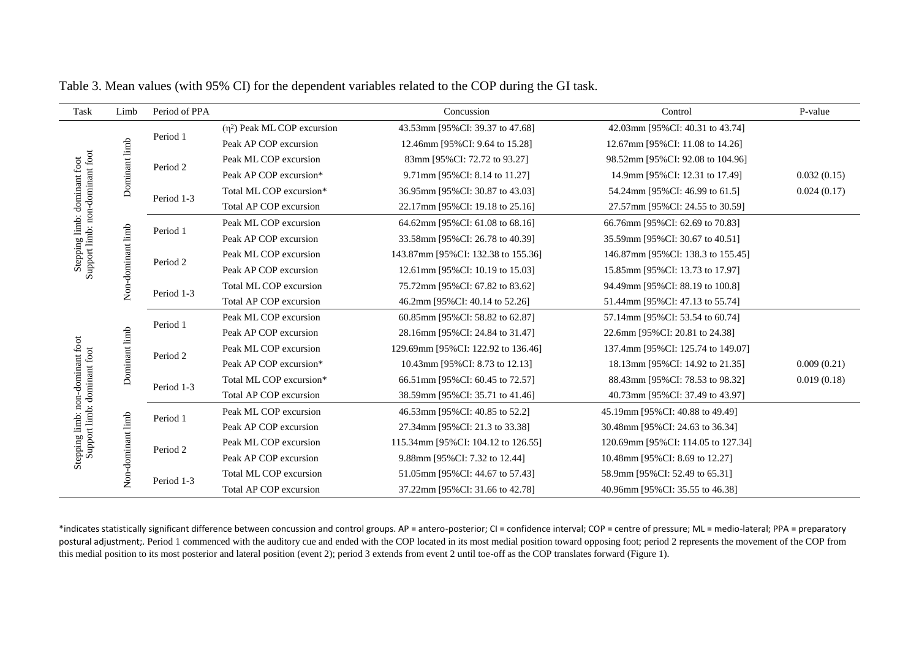| Task                                                            | Limb              | Period of PPA |                                  | Concussion                                                                                                                                                                                                                                                                                                                                                           | Control                            | P-value     |
|-----------------------------------------------------------------|-------------------|---------------|----------------------------------|----------------------------------------------------------------------------------------------------------------------------------------------------------------------------------------------------------------------------------------------------------------------------------------------------------------------------------------------------------------------|------------------------------------|-------------|
| Stepping limb: dominant foot<br>Support limb: non-dominant foot |                   |               | $(\eta^2)$ Peak ML COP excursion | 43.53mm [95%CI: 39.37 to 47.68]                                                                                                                                                                                                                                                                                                                                      | 42.03mm [95%CI: 40.31 to 43.74]    |             |
|                                                                 |                   | Period 1      | Peak AP COP excursion            | 12.46mm [95%CI: 9.64 to 15.28]                                                                                                                                                                                                                                                                                                                                       | 12.67mm [95%CI: 11.08 to 14.26]    |             |
|                                                                 | Dominant limb     | Period 2      | Peak ML COP excursion            | 83mm [95%CI: 72.72 to 93.27]                                                                                                                                                                                                                                                                                                                                         | 98.52mm [95%CI: 92.08 to 104.96]   |             |
|                                                                 |                   |               | Peak AP COP excursion*           | 9.71mm [95%CI: 8.14 to 11.27]                                                                                                                                                                                                                                                                                                                                        | 14.9mm [95%CI: 12.31 to 17.49]     | 0.032(0.15) |
|                                                                 |                   | Period 1-3    | Total ML COP excursion*          | 36.95mm [95%CI: 30.87 to 43.03]                                                                                                                                                                                                                                                                                                                                      | 54.24mm [95%CI: 46.99 to 61.5]     | 0.024(0.17) |
|                                                                 |                   |               | Total AP COP excursion           | 22.17mm [95%CI: 19.18 to 25.16]                                                                                                                                                                                                                                                                                                                                      | 27.57mm [95%CI: 24.55 to 30.59]    |             |
|                                                                 |                   |               | Peak ML COP excursion            | 64.62mm [95%CI: 61.08 to 68.16]                                                                                                                                                                                                                                                                                                                                      | 66.76mm [95%CI: 62.69 to 70.83]    |             |
|                                                                 |                   | Period 1      | Peak AP COP excursion            | 33.58mm [95%CI: 26.78 to 40.39]                                                                                                                                                                                                                                                                                                                                      | 35.59mm [95%CI: 30.67 to 40.51]    |             |
|                                                                 |                   |               | Peak ML COP excursion            | 143.87mm [95%CI: 132.38 to 155.36]                                                                                                                                                                                                                                                                                                                                   | 146.87mm [95%CI: 138.3 to 155.45]  |             |
|                                                                 |                   | Period 2      | Peak AP COP excursion            | 12.61mm [95%CI: 10.19 to 15.03]                                                                                                                                                                                                                                                                                                                                      | 15.85mm [95%CI: 13.73 to 17.97]    |             |
|                                                                 | Non-dominant limb | Period 1-3    | Total ML COP excursion           | 75.72mm [95%CI: 67.82 to 83.62]                                                                                                                                                                                                                                                                                                                                      | 94.49mm [95%CI: 88.19 to 100.8]    |             |
|                                                                 |                   |               | Total AP COP excursion           | 46.2mm [95%CI: 40.14 to 52.26]                                                                                                                                                                                                                                                                                                                                       | 51.44mm [95%CI: 47.13 to 55.74]    |             |
|                                                                 |                   | Period 1      | Peak ML COP excursion            | 60.85mm [95%CI: 58.82 to 62.87]                                                                                                                                                                                                                                                                                                                                      | 57.14mm [95%CI: 53.54 to 60.74]    |             |
|                                                                 |                   |               | Peak AP COP excursion            | 28.16mm [95%CI: 24.84 to 31.47]                                                                                                                                                                                                                                                                                                                                      | 22.6mm [95%CI: 20.81 to 24.38]     |             |
|                                                                 |                   | Period 2      | Peak ML COP excursion            | 129.69mm [95%CI: 122.92 to 136.46]                                                                                                                                                                                                                                                                                                                                   | 137.4mm [95%CI: 125.74 to 149.07]  |             |
|                                                                 | Dominant limb     |               | Peak AP COP excursion*           | 10.43mm [95%CI: 8.73 to 12.13]                                                                                                                                                                                                                                                                                                                                       | 18.13mm [95%CI: 14.92 to 21.35]    | 0.009(0.21) |
|                                                                 |                   | Period 1-3    | Total ML COP excursion*          | 66.51 mm [95% CI: 60.45 to 72.57]                                                                                                                                                                                                                                                                                                                                    | 88.43mm [95%CI: 78.53 to 98.32]    | 0.019(0.18) |
| Stepping limb: non-dominant foot<br>Support limb: dominant foot |                   |               | Total AP COP excursion           | 38.59mm [95%CI: 35.71 to 41.46]                                                                                                                                                                                                                                                                                                                                      | 40.73mm [95%CI: 37.49 to 43.97]    |             |
|                                                                 |                   | Period 1      | Peak ML COP excursion            | 46.53mm [95%CI: 40.85 to 52.2]                                                                                                                                                                                                                                                                                                                                       | 45.19mm [95%CI: 40.88 to 49.49]    |             |
|                                                                 | Non-dominant limb |               | Peak AP COP excursion            | 27.34mm [95%CI: 21.3 to 33.38]                                                                                                                                                                                                                                                                                                                                       | 30.48mm [95%CI: 24.63 to 36.34]    |             |
|                                                                 |                   | Period 2      | Peak ML COP excursion            | 115.34mm [95%CI: 104.12 to 126.55]                                                                                                                                                                                                                                                                                                                                   | 120.69mm [95%CI: 114.05 to 127.34] |             |
|                                                                 |                   |               | Peak AP COP excursion            | 9.88mm [95%CI: 7.32 to 12.44]                                                                                                                                                                                                                                                                                                                                        | 10.48mm [95%CI: 8.69 to 12.27]     |             |
|                                                                 |                   | Period 1-3    | Total ML COP excursion           | 51.05mm [95%CI: 44.67 to 57.43]                                                                                                                                                                                                                                                                                                                                      | 58.9mm [95%CI: 52.49 to 65.31]     |             |
|                                                                 |                   |               | Total AP COP excursion           | 37.22mm [95%CI: 31.66 to 42.78]                                                                                                                                                                                                                                                                                                                                      | 40.96mm [95%CI: 35.55 to 46.38]    |             |
|                                                                 |                   |               |                                  | *indicates statistically significant difference between concussion and control groups. AP = antero-posterior; CI = confidence interval; COP = centre of pressure; ML = medio-lateral; PPA = preparatory                                                                                                                                                              |                                    |             |
|                                                                 |                   |               |                                  | postural adjustment;. Period 1 commenced with the auditory cue and ended with the COP located in its most medial position toward opposing foot; period 2 represents the movement of the COP from<br>this medial position to its most posterior and lateral position (event 2); period 3 extends from event 2 until toe-off as the COP translates forward (Figure 1). |                                    |             |

Table 3. Mean values (with 95% CI) for the dependent variables related to the COP during the GI task.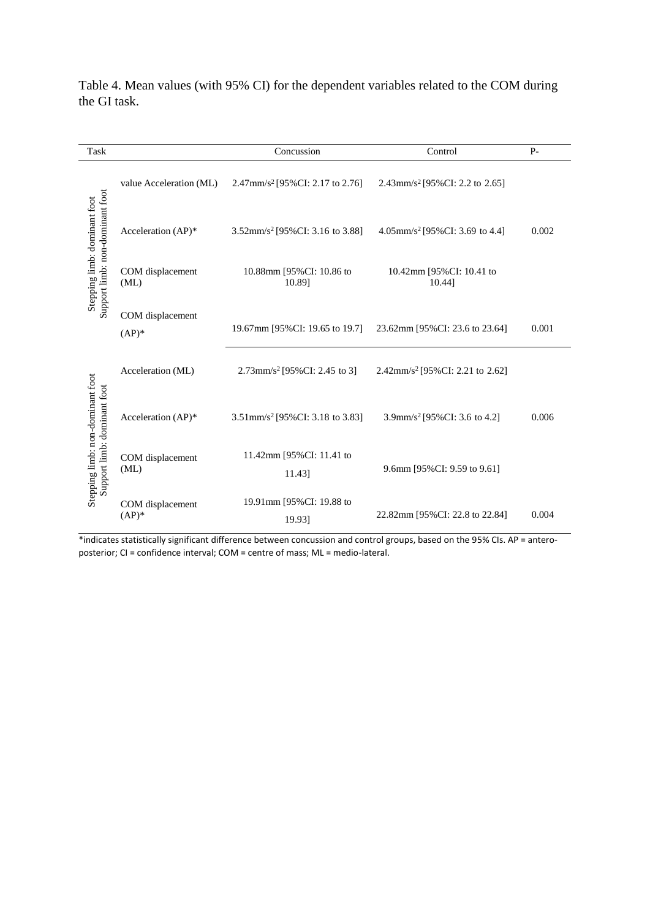| Task                                                            |                              | Concussion                                                                     | Control                                                                                                                   | $P-$  |
|-----------------------------------------------------------------|------------------------------|--------------------------------------------------------------------------------|---------------------------------------------------------------------------------------------------------------------------|-------|
|                                                                 | value Acceleration (ML)      | 2.47mm/s <sup>2</sup> [95%CI: 2.17 to 2.76]                                    | 2.43mm/s <sup>2</sup> [95%CI: 2.2 to 2.65]                                                                                |       |
|                                                                 | Acceleration (AP)*           | 3.52mm/s <sup>2</sup> [95%CI: 3.16 to 3.88]                                    | 4.05mm/s <sup>2</sup> [95%CI: 3.69 to 4.4]                                                                                | 0.002 |
| Support limb: non-dominant foot<br>Stepping limb: dominant foot | COM displacement<br>(ML)     | 10.88mm [95%CI: 10.86 to<br>10.89]                                             | 10.42mm [95%CI: 10.41 to<br>10.44]                                                                                        |       |
|                                                                 | COM displacement<br>$(AP)^*$ | 19.67mm [95%CI: 19.65 to 19.7]                                                 | 23.62mm [95%CI: 23.6 to 23.64]                                                                                            | 0.001 |
|                                                                 | Acceleration (ML)            | $2.73$ mm/s <sup>2</sup> [95%CI: 2.45 to 3]                                    | 2.42mm/s <sup>2</sup> [95%CI: 2.21 to 2.62]                                                                               |       |
| Stepping limb: non-dominant foot<br>Support limb: dominant foot | Acceleration (AP)*           | 3.51mm/s <sup>2</sup> [95%CI: 3.18 to 3.83]                                    | 3.9mm/s <sup>2</sup> [95%CI: 3.6 to 4.2]                                                                                  | 0.006 |
|                                                                 | COM displacement<br>(ML)     | 11.42mm [95%CI: 11.41 to<br>11.43]                                             | 9.6mm [95%CI: 9.59 to 9.61]                                                                                               |       |
|                                                                 | COM displacement<br>$(AP)*$  | 19.91mm [95%CI: 19.88 to<br>19.93]                                             | 22.82mm [95%CI: 22.8 to 22.84]                                                                                            | 0.004 |
|                                                                 |                              | posterior; CI = confidence interval; COM = centre of mass; ML = medio-lateral. | *indicates statistically significant difference between concussion and control groups, based on the 95% CIs. AP = antero- |       |

Table 4. Mean values (with 95% CI) for the dependent variables related to the COM during the GI task.